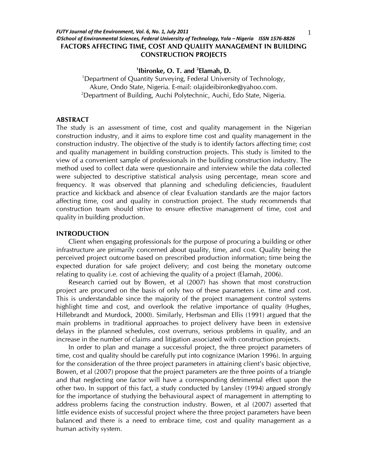## *FUTY Journal of the Environment, Vol. 6, No. 1, July 2011 ©School of Environmental Sciences, Federal University of Technology, Yola – Nigeria ISSN 1576-8826* **FACTORS AFFECTING TIME, COST AND QUALITY MANAGEMENT IN BUILDING CONSTRUCTION PROJECTS**

## **1 Ibironke, O. T. and 2 Elamah, D.**

<sup>1</sup>Department of Quantity Surveying, Federal University of Technology, Akure, Ondo State, Nigeria. E-mail: olajideibironke@yahoo.com. <sup>2</sup>Department of Building, Auchi Polytechnic, Auchi, Edo State, Nigeria.

## **ABSTRACT**

The study is an assessment of time, cost and quality management in the Nigerian construction industry, and it aims to explore time cost and quality management in the construction industry. The objective of the study is to identify factors affecting time; cost and quality management in building construction projects. This study is limited to the view of a convenient sample of professionals in the building construction industry. The method used to collect data were questionnaire and interview while the data collected were subjected to descriptive statistical analysis using percentage, mean score and frequency. It was observed that planning and scheduling deficiencies, fraudulent practice and kickback and absence of clear Evaluation standards are the major factors affecting time, cost and quality in construction project. The study recommends that construction team should strive to ensure effective management of time, cost and quality in building production.

#### **INTRODUCTION**

Client when engaging professionals for the purpose of procuring a building or other infrastructure are primarily concerned about quality, time, and cost. Quality being the perceived project outcome based on prescribed production information; time being the expected duration for safe project delivery; and cost being the monetary outcome relating to quality i.e. cost of achieving the quality of a project (Elamah, 2006).

Research carried out by Bowen, et al (2007) has shown that most construction project are procured on the basis of only two of these parameters i.e. time and cost. This is understandable since the majority of the project management control systems highlight time and cost, and overlook the relative importance of quality (Hughes, Hillebrandt and Murdock, 2000). Similarly, Herbsman and Ellis (1991) argued that the main problems in traditional approaches to project delivery have been in extensive delays in the planned schedules, cost overruns, serious problems in quality, and an increase in the number of claims and litigation associated with construction projects.

In order to plan and manage a successful project, the three project parameters of time, cost and quality should be carefully put into cognizance (Marion 1996). In arguing for the consideration of the three project parameters in attaining client's basic objective, Bowen, et al (2007) propose that the project parameters are the three points of a triangle and that neglecting one factor will have a corresponding detrimental effect upon the other two. In support of this fact, a study conducted by Lansley (1994) argued strongly for the importance of studying the behavioural aspect of management in attempting to address problems facing the construction industry. Bowen, et al (2007) asserted that little evidence exists of successful project where the three project parameters have been balanced and there is a need to embrace time, cost and quality management as a human activity system.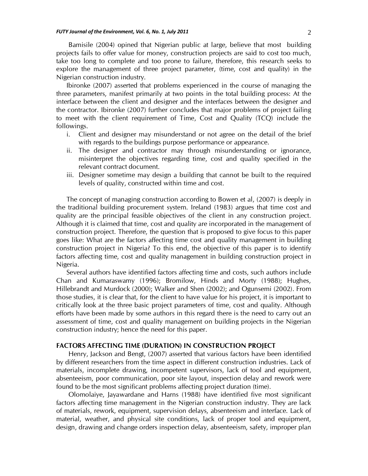Bamisile (2004) opined that Nigerian public at large, believe that most building projects fails to offer value for money, construction projects are said to cost too much, take too long to complete and too prone to failure, therefore, this research seeks to explore the management of three project parameter, (time, cost and quality) in the Nigerian construction industry.

Ibironke (2007) asserted that problems experienced in the course of managing the three parameters, manifest primarily at two points in the total building process: At the interface between the client and designer and the interfaces between the designer and the contractor. Ibironke (2007) further concludes that major problems of project failing to meet with the client requirement of Time, Cost and Quality (TCQ) include the followings.

- i. Client and designer may misunderstand or not agree on the detail of the brief with regards to the buildings purpose performance or appearance.
- ii. The designer and contractor may through misunderstanding or ignorance, misinterpret the objectives regarding time, cost and quality specified in the relevant contract document.
- iii. Designer sometime may design a building that cannot be built to the required levels of quality, constructed within time and cost.

The concept of managing construction according to Bowen et al, (2007) is deeply in the traditional building procurement system. Ireland (1983) argues that time cost and quality are the principal feasible objectives of the client in any construction project. Although it is claimed that time, cost and quality are incorporated in the management of construction project. Therefore, the question that is proposed to give focus to this paper goes like: What are the factors affecting time cost and quality management in building construction project in Nigeria? To this end, the objective of this paper is to identify factors affecting time, cost and quality management in building construction project in Nigeria.

Several authors have identified factors affecting time and costs, such authors include Chan and Kumaraswamy (1996); Bromilow, Hinds and Morty (1988); Hughes, Hillebrandt and Murdock (2000); Walker and Shen (2002); and Ogunsemi (2002). From those studies, it is clear that, for the client to have value for his project, it is important to critically look at the three basic project parameters of time, cost and quality. Although efforts have been made by some authors in this regard there is the need to carry out an assessment of time, cost and quality management on building projects in the Nigerian construction industry; hence the need for this paper.

#### **FACTORS AFFECTING TIME (DURATION) IN CONSTRUCTION PROJECT**

Henry, Jackson and Bengt, (2007) asserted that various factors have been identified by different researchers from the time aspect in different construction industries. Lack of materials, incomplete drawing, incompetent supervisors, lack of tool and equipment, absenteeism, poor communication, poor site layout, inspection delay and rework were found to be the most significant problems affecting project duration (time).

Olomolaiye, Jayawardane and Harns (1988) have identified five most significant factors affecting time management in the Nigerian construction industry. They are lack of materials, rework, equipment, supervision delays, absenteeism and interface. Lack of material, weather, and physical site conditions, lack of proper tool and equipment, design, drawing and change orders inspection delay, absenteeism, safety, improper plan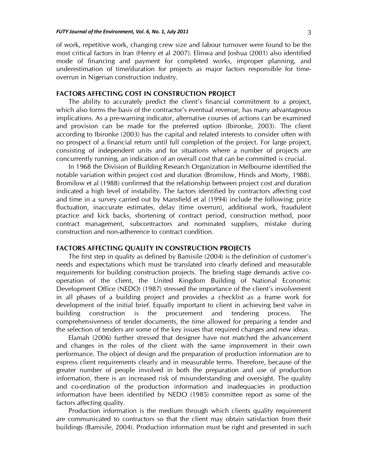of work, repetitive work, changing crew size and labour turnover were found to be the most critical factors in Iran (Henry et al 2007). Elinwa and Joshua (2001) also identified mode of financing and payment for completed works, improper planning, and underestimation of time/duration for projects as major factors responsible for timeoverrun in Nigerian construction industry.

#### **FACTORS AFFECTING COST IN CONSTRUCTION PROJECT**

The ability to accurately predict the client's financial commitment to a project, which also forms the basis of the contractor's eventual revenue, has many advantageous implications. As a pre-warning indicator, alternative courses of actions can be examined and provision can be made for the preferred option (Ibironke, 2003). The client according to Ibironke (2003) has the capital and related interests to consider often with no prospect of a financial return until full completion of the project. For large project, consisting of independent units and for situations where a number of projects are concurrently running, an indication of an overall cost that can be committed is crucial.

In 1968 the Division of Building Research Organization in Melbourne identified the notable variation within project cost and duration (Bromilow, Hinds and Morty, 1988). Bromilow et al (1988) confirmed that the relationship between project cost and duration indicated a high level of instability. The factors identified by contractors affecting cost and time in a survey carried out by Mansfield et al (1994) include the following: price fluctuation, inaccurate estimates, delay (time overrun), additional work, fraudulent practice and kick backs, shortening of contract period, construction method, poor contract management, subcontractors and nominated suppliers, mistake during construction and non-adherence to contract condition.

#### **FACTORS AFFECTING QUALITY IN CONSTRUCTION PROJECTS**

The first step in quality as defined by Bamisile (2004) is the definition of customer's needs and expectations which must be translated into clearly defined and measurable requirements for building construction projects. The briefing stage demands active cooperation of the client, the United Kingdom Building of National Economic Development Office (NEDO) (1987) stressed the importance of the client's involvement in all phases of a building project and provides a checklist as a frame work for development of the initial brief. Equally important to client in achieving best valve in building construction is the procurement and tendering process. The comprehensiveness of tender documents, the time allowed for preparing a tender and the selection of tenders are some of the key issues that required changes and new ideas.

Elamah (2006) further stressed that designer have not matched the advancement and changes in the roles of the client with the same improvement in their own performance. The object of design and the preparation of production information are to express client requirements clearly and in measurable terms. Therefore, because of the greater number of people involved in both the preparation and use of production information, there is an increased risk of misunderstanding and oversight. The quality and co-ordination of the production information and inadequacies in production information have been identified by NEDO (1985) committee report as some of the factors affecting quality.

Production information is the medium through which clients quality requirement are communicated to contractors so that the client may obtain satisfaction from their buildings (Bamisile, 2004). Production information must be right and presented in such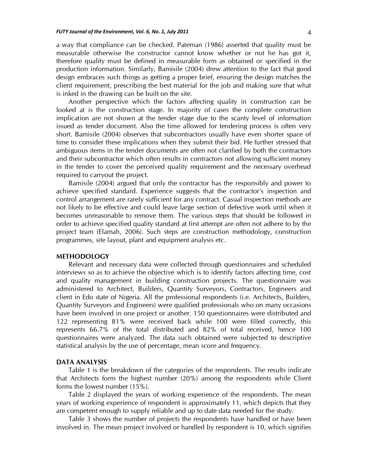a way that compliance can be checked. Pateman (1986) asserted that quality must be measurable otherwise the constructor cannot know whether or not he has got it, therefore quality must be defined in measurable form as obtained or specified in the production information. Similarly, Bamisile (2004) drew attention to the fact that good design embraces such things as getting a proper brief, ensuring the design matches the client requirement, prescribing the best material for the job and making sure that what is inked in the drawing can be built on the site.

Another perspective which the factors affecting quality in construction can be looked at is the construction stage. In majority of cases the complete construction implication are not shown at the tender stage due to the scanty level of information issued as tender document. Also the time allowed for tendering process is often very short. Bamisile (2004) observes that subcontractors usually have even shorter space of time to consider these implications when they submit their bid. He further stressed that ambiguous items in the tender documents are often not clarified by both the contractors and their subcontractor which often results in contractors not allowing sufficient money in the tender to cover the perceived quality requirement and the necessary overhead required to carryout the project.

Bamisile (2004) argued that only the contractor has the responsibly and power to achieve specified standard. Experience suggests that the contractor's inspection and control arrangement are rarely sufficient for any contract. Casual inspection methods are not likely to be effective and could leave large section of defective work until when it becomes unreasonable to remove them. The various steps that should be followed in order to achieve specified quality standard at first attempt are often not adhere to by the project team (Elamah, 2006). Such steps are construction methodology, construction programmes, site layout, plant and equipment analysis etc.

# **METHODOLOGY**

Relevant and necessary data were collected through questionnaires and scheduled interviews so as to achieve the objective which is to identify factors affecting time, cost and quality management in building construction projects. The questionnaire was administered to Architect, Builders, Quantity Surveyors, Contractors, Engineers and client in Edo state of Nigeria. All the professional respondents (i.e. Architects, Builders, Quantity Surveyors and Engineers) were qualified professionals who on many occasions have been involved in one project or another. 150 questionnaires were distributed and 122 representing 81% were received back while 100 were filled correctly, this represents 66.7% of the total distributed and 82% of total received, hence 100 questionnaires were analyzed. The data such obtained were subjected to descriptive statistical analysis by the use of percentage, mean score and frequency.

#### **DATA ANALYSIS**

Table 1 is the breakdown of the categories of the respondents. The results indicate that Architects form the highest number (20%) among the respondents while Client forms the lowest number (15%).

Table 2 displayed the years of working experience of the respondents. The mean years of working experience of respondent is approximately 11, which depicts that they are competent enough to supply reliable and up to date data needed for the study.

Table 3 shows the number of projects the respondents have handled or have been involved in. The mean project involved or handled by respondent is 10, which signifies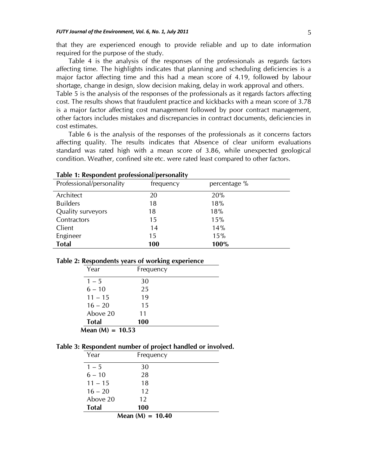that they are experienced enough to provide reliable and up to date information required for the purpose of the study.

Table 4 is the analysis of the responses of the professionals as regards factors affecting time. The highlights indicates that planning and scheduling deficiencies is a major factor affecting time and this had a mean score of 4.19, followed by labour shortage, change in design, slow decision making, delay in work approval and others.

Table 5 is the analysis of the responses of the professionals as it regards factors affecting cost. The results shows that fraudulent practice and kickbacks with a mean score of 3.78 is a major factor affecting cost management followed by poor contract management, other factors includes mistakes and discrepancies in contract documents, deficiencies in cost estimates.

Table 6 is the analysis of the responses of the professionals as it concerns factors affecting quality. The results indicates that Absence of clear uniform evaluations standard was rated high with a mean score of 3.86, while unexpected geological condition. Weather, confined site etc. were rated least compared to other factors.

| $\ldots$  |              |
|-----------|--------------|
| frequency | percentage % |
| 20        | 20%          |
| 18        | 18%          |
| 18        | 18%          |
| 15        | 15%          |
| 14        | 14%          |
| 15        | 15%          |
| 100       | 100%         |
|           |              |

**Table 1: Respondent professional/personality**

## **Table 2: Respondents years of working experience**

| Year               | Frequency |  |
|--------------------|-----------|--|
| $1 - 5$            | 30        |  |
| $6 - 10$           | 25        |  |
| $11 - 15$          | 19        |  |
| $16 - 20$          | 15        |  |
| Above 20           | 11        |  |
| <b>Total</b>       | 100       |  |
| Mean $(M) = 10.53$ |           |  |

#### **Table 3: Respondent number of project handled or involved.**

| Year               | Frequency |  |  |
|--------------------|-----------|--|--|
| $1 - 5$            | 30        |  |  |
| $6 - 10$           | 28        |  |  |
| $11 - 15$          | 18        |  |  |
| $16 - 20$          | 12        |  |  |
| Above 20           | 12        |  |  |
| <b>Total</b>       | 100       |  |  |
| Mean $(M) = 10.40$ |           |  |  |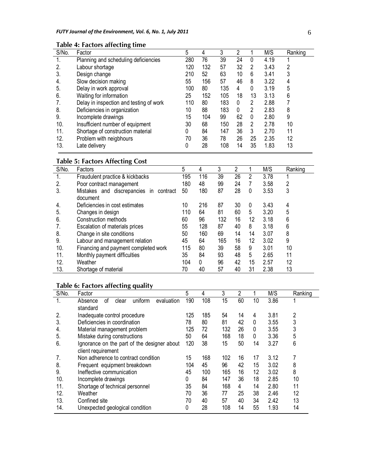| rabic +. ractors arrecting three        |                              |     |     |    |          |      |         |
|-----------------------------------------|------------------------------|-----|-----|----|----------|------|---------|
| Factor                                  | 5                            | 4   |     | 2  |          | M/S  | Ranking |
| Planning and scheduling deficiencies    | 280                          | 76  | 39  | 24 | $\Omega$ | 4.19 |         |
| Labour shortage                         | 120                          | 132 | 57  | 32 | 2        | 3.43 | 2       |
| Design change                           | 210                          | 52  | 63  | 10 | 6        | 3.41 | 3       |
| Slow decision making                    | 55                           | 156 | 57  | 46 | 8        | 3.22 | 4       |
| Delay in work approval                  | 100                          | 80  | 135 | 4  | 0        | 3.19 | 5       |
| Waiting for information                 | 25                           | 152 | 105 | 18 | 13       | 3.13 | 6       |
| Delay in inspection and testing of work | 110                          | 80  | 183 | 0  | 2        | 2.88 |         |
|                                         | 10                           | 88  | 183 | 0  | 2        | 2.83 | 8       |
| Incomplete drawings                     | 15                           | 104 | 99  | 62 | 0        | 2.80 | 9       |
| Insufficient number of equipment        | 30                           | 68  | 150 | 28 | 2        | 2.78 | 10      |
| Shortage of construction material       | 0                            | 84  | 147 | 36 | 3        | 2.70 | 11      |
| Problem with neigbhours                 | 70                           | 36  | 78  | 26 | 25       | 2.35 | 12      |
| Late delivery                           | 0                            | 28  | 108 | 14 | 35       | 1.83 | 13      |
|                                         | Deficiencies in organization |     |     |    |          |      |         |

# **Table 4: Factors affecting time**

# **Table 5: Factors Affecting Cost**

| S/No. | ັ<br>Factors                              | 5   | 4   | 3   | 2  |    | M/S  | Ranking |
|-------|-------------------------------------------|-----|-----|-----|----|----|------|---------|
|       | Fraudulent practice & kickbacks           | 195 | 116 | 39  | 26 | 2  | 3.78 |         |
| 2.    | Poor contract management                  | 180 | 48  | 99  | 24 | 7  | 3.58 | 2       |
| 3.    | Mistakes and discrepancies in<br>contract | 50  | 180 | 87  | 28 | 0  | 3.53 | 3       |
|       | document                                  |     |     |     |    |    |      |         |
| 4.    | Deficiencies in cost estimates            | 10  | 216 | 87  | 30 | 0  | 3.43 | 4       |
| 5.    | Changes in design                         | 110 | 64  | 81  | 60 | 5  | 3.20 | 5       |
| 6.    | Construction methods                      | 60  | 96  | 132 | 16 | 12 | 3.18 | 6       |
|       | Escalation of materials prices            | 55  | 128 | 87  | 40 | 8  | 3.18 | 6       |
| 8.    | Change in site conditions                 | 50  | 160 | 69  | 14 | 14 | 3.07 | 8       |
| 9.    | Labour and management relation            | 45  | 64  | 165 | 16 | 12 | 3.02 | 9       |
| 10.   | Financing and payment completed work      | 115 | 80  | 39  | 58 | 9  | 3.01 | 10      |
| 11.   | Monthly payment difficulties              | 35  | 84  | 93  | 48 | 5  | 2.65 | 11      |
| 12.   | Weather                                   | 104 | 0   | 96  | 42 | 15 | 2.57 | 12      |
| 13.   | Shortage of material                      | 70  | 40  | 57  | 40 | 31 | 2.38 | 13      |

# **Table 6: Factors affecting quality**

| S/No. | Factor                                          | 5   | 4   | 3   | 2  |    | M/S  | Ranking |
|-------|-------------------------------------------------|-----|-----|-----|----|----|------|---------|
| 1.    | uniform<br>evaluation<br>clear<br>οf<br>Absence | 190 | 108 | 15  | 60 | 10 | 3.86 |         |
|       | standard                                        |     |     |     |    |    |      |         |
| 2.    | Inadequate control procedure                    | 125 | 185 | 54  | 14 | 4  | 3.81 | 2       |
| 3.    | Deficiencies in coordination                    | 78  | 80  | 81  | 42 | 0  | 3.55 | 3       |
| 4.    | Material management problem                     | 125 | 72  | 132 | 26 | 0  | 3.55 | 3       |
| 5.    | Mistake during constructions                    | 50  | 64  | 168 | 18 | 0  | 3.36 | 5       |
| 6.    | Ignorance on the part of the designer about     | 120 | 38  | 15  | 50 | 14 | 3.27 | 6       |
|       | client requirement                              |     |     |     |    |    |      |         |
| 7.    | Non adherence to contract condition             | 15  | 168 | 102 | 16 | 17 | 3.12 |         |
| 8.    | Frequent equipment breakdown                    | 104 | 45  | 96  | 42 | 15 | 3.02 | 8       |
| 9.    | Ineffective communication                       | 45  | 100 | 165 | 16 | 12 | 3.02 | 8       |
| 10.   | Incomplete drawings                             | 0   | 84  | 147 | 36 | 18 | 2.85 | 10      |
| 11.   | Shortage of technical personnel                 | 35  | 84  | 168 | 4  | 14 | 2.80 | 11      |
| 12.   | Weather                                         | 70  | 36  | 77  | 25 | 38 | 2.46 | 12      |
| 13.   | Confined site                                   | 70  | 40  | 57  | 40 | 34 | 2.42 | 13      |
| 14.   | Unexpected geological condition                 | 0   | 28  | 108 | 14 | 55 | 1.93 | 14      |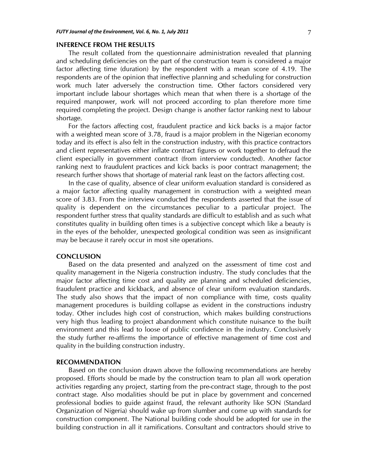### **INFERENCE FROM THE RESULTS**

The result collated from the questionnaire administration revealed that planning and scheduling deficiencies on the part of the construction team is considered a major factor affecting time (duration) by the respondent with a mean score of 4.19. The respondents are of the opinion that ineffective planning and scheduling for construction work much later adversely the construction time. Other factors considered very important include labour shortages which mean that when there is a shortage of the required manpower, work will not proceed according to plan therefore more time required completing the project. Design change is another factor ranking next to labour shortage.

For the factors affecting cost, fraudulent practice and kick backs is a major factor with a weighted mean score of 3.78, fraud is a major problem in the Nigerian economy today and its effect is also felt in the construction industry, with this practice contractors and client representatives either inflate contract figures or work together to defraud the client especially in government contract (from interview conducted). Another factor ranking next to fraudulent practices and kick backs is poor contract management; the research further shows that shortage of material rank least on the factors affecting cost.

In the case of quality, absence of clear uniform evaluation standard is considered as a major factor affecting quality management in construction with a weighted mean score of 3.83. From the interview conducted the respondents asserted that the issue of quality is dependent on the circumstances peculiar to a particular project. The respondent further stress that quality standards are difficult to establish and as such what constitutes quality in building often times is a subjective concept which like a beauty is in the eyes of the beholder, unexpected geological condition was seen as insignificant may be because it rarely occur in most site operations.

#### **CONCLUSION**

Based on the data presented and analyzed on the assessment of time cost and quality management in the Nigeria construction industry. The study concludes that the major factor affecting time cost and quality are planning and scheduled deficiencies, fraudulent practice and kickback, and absence of clear uniform evaluation standards. The study also shows that the impact of non compliance with time, costs quality management procedures is building collapse as evident in the constructions industry today. Other includes high cost of construction, which makes building constructions very high thus leading to project abandonment which constitute nuisance to the built environment and this lead to loose of public confidence in the industry. Conclusively the study further re-affirms the importance of effective management of time cost and quality in the building construction industry.

#### **RECOMMENDATION**

Based on the conclusion drawn above the following recommendations are hereby proposed. Efforts should be made by the construction team to plan all work operation activities regarding any project, starting from the pre-contract stage, through to the post contract stage. Also modalities should be put in place by government and concerned professional bodies to guide against fraud, the relevant authority like SON (Standard Organization of Nigeria) should wake up from slumber and come up with standards for construction component. The National building code should be adopted for use in the building construction in all it ramifications. Consultant and contractors should strive to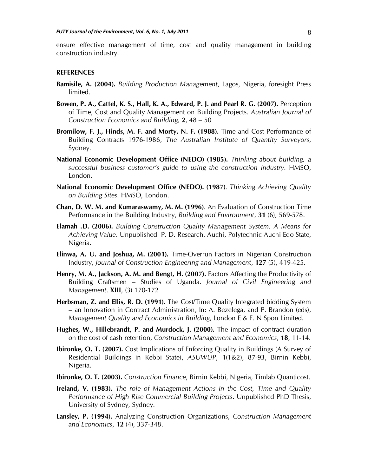ensure effective management of time, cost and quality management in building construction industry.

### **REFERENCES**

- **Bamisile, A. (2004).** *Building Production Management*, Lagos, Nigeria, foresight Press limited.
- **Bowen, P. A., Cattel, K. S., Hall, K. A., Edward, P. J. and Pearl R. G. (2007).** Perception of Time, Cost and Quality Management on Building Projects. *Australian Journal of Construction Economics and Building,* **2**, 48 – 50
- **Bromilow, F. J., Hinds, M. F. and Morty, N. F. (1988).** Time and Cost Performance of Building Contracts 1976-1986, *The Australian Institute of Quantity Surveyors*, Sydney.
- **National Economic Development Office (NEDO) (1985).** *Thinking about building, a successful business customer's guide to using the construction industry*. HMSO, London.
- **National Economic Development Office (NEDO). (1987)**. *Thinking Achieving Quality on Building Sites*. HMSO, London.
- **Chan, D. W. M. and Kumaraswamy, M. M. (1996)**. An Evaluation of Construction Time Performance in the Building Industry, *Building and Environment*, **31** (6), 569-578.
- **Elamah .D. (2006).** *Building Construction Quality Management System: A Means for Achieving Value*. Unpublished P. D. Research, Auchi, Polytechnic Auchi Edo State, Nigeria.
- **Elinwa, A. U. and Joshua, M. (2001).** Time-Overrun Factors in Nigerian Construction Industry, *Journal of Construction Engineering and Management*, **127** (5), 419-425.
- **Henry, M. A., Jackson, A. M. and Bengt, H. (2007).** Factors Affecting the Productivity of Building Craftsmen – Studies of Uganda. *Journal of Civil Engineering and Management*. **XIII**, (3) 170-172
- **Herbsman, Z. and Ellis, R. D. (1991).** The Cost/Time Quality Integrated bidding System – an Innovation in Contract Administration, In: A. Bezelega, and P. Brandon (eds), *Management Quality and Economics in Building*, London E & F. N Spon Limited.
- **Hughes, W., Hillebrandt, P. and Murdock, J. (2000).** The impact of contract duration on the cost of cash retention, *Construction Management and Economics*, **18**, 11-14.
- **Ibironke, O. T. (2007).** Cost Implications of Enforcing Quality in Buildings (A Survey of Residential Buildings in Kebbi State), *ASUWUP*, **1**(1&2), 87-93, Birnin Kebbi, Nigeria.
- **Ibironke, O. T. (2003).** *Construction Finance*, Birnin Kebbi, Nigeria, Timlab Quanticost.
- **Ireland, V. (1983).** *The role of Management Actions in the Cost, Time and Quality Performance of High Rise Commercial Building Projects*. Unpublished PhD Thesis, University of Sydney, Sydney.
- **Lansley, P. (1994).** Analyzing Construction Organizations, *Construction Management and Economics*, **12** (4), 337-348.